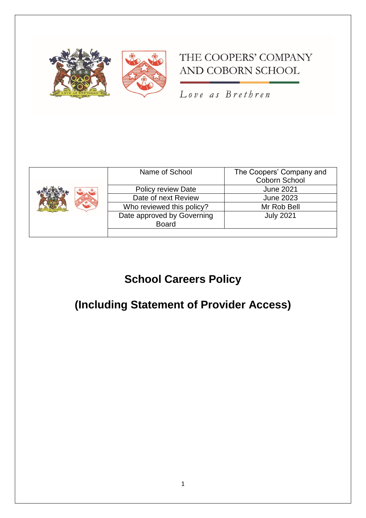

## THE COOPERS' COMPANY AND COBORN SCHOOL

Love as Brethren

| Name of School             | The Coopers' Company and<br>Coborn School |
|----------------------------|-------------------------------------------|
| <b>Policy review Date</b>  | <b>June 2021</b>                          |
| Date of next Review        | <b>June 2023</b>                          |
| Who reviewed this policy?  | Mr Rob Bell                               |
| Date approved by Governing | <b>July 2021</b>                          |
| <b>Board</b>               |                                           |
|                            |                                           |

# **School Careers Policy**

# **(Including Statement of Provider Access)**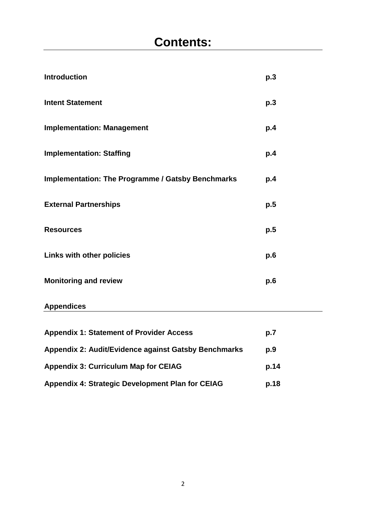| <b>Introduction</b>                                      | p.3 |
|----------------------------------------------------------|-----|
| <b>Intent Statement</b>                                  | p.3 |
| <b>Implementation: Management</b>                        | p.4 |
| <b>Implementation: Staffing</b>                          | p.4 |
| <b>Implementation: The Programme / Gatsby Benchmarks</b> | p.4 |
| <b>External Partnerships</b>                             | p.5 |
| <b>Resources</b>                                         | p.5 |
| <b>Links with other policies</b>                         | p.6 |
| <b>Monitoring and review</b>                             | p.6 |

## **Appendices**

| <b>Appendix 1: Statement of Provider Access</b>         | p.7  |
|---------------------------------------------------------|------|
| Appendix 2: Audit/Evidence against Gatsby Benchmarks    | p.9  |
| <b>Appendix 3: Curriculum Map for CEIAG</b>             | p.14 |
| <b>Appendix 4: Strategic Development Plan for CEIAG</b> | p.18 |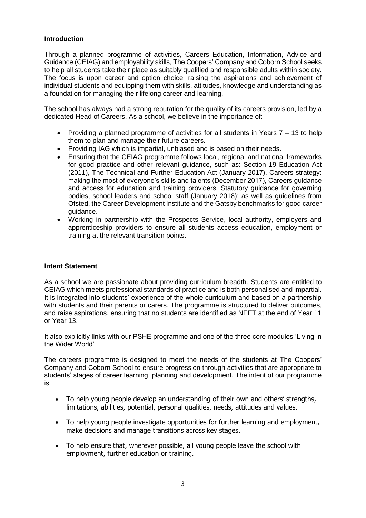#### **Introduction**

Through a planned programme of activities, Careers Education, Information, Advice and Guidance (CEIAG) and employability skills, The Coopers' Company and Coborn School seeks to help all students take their place as suitably qualified and responsible adults within society. The focus is upon career and option choice, raising the aspirations and achievement of individual students and equipping them with skills, attitudes, knowledge and understanding as a foundation for managing their lifelong career and learning.

The school has always had a strong reputation for the quality of its careers provision, led by a dedicated Head of Careers. As a school, we believe in the importance of:

- Providing a planned programme of activities for all students in Years  $7 13$  to help them to plan and manage their future careers.
- Providing IAG which is impartial, unbiased and is based on their needs.
- Ensuring that the CEIAG programme follows local, regional and national frameworks for good practice and other relevant guidance, such as: Section 19 Education Act (2011), The Technical and Further Education Act (January 2017), Careers strategy: making the most of everyone's skills and talents (December 2017), Careers guidance and access for education and training providers: Statutory guidance for governing bodies, school leaders and school staff (January 2018); as well as guidelines from Ofsted, the Career Development Institute and the Gatsby benchmarks for good career guidance.
- Working in partnership with the Prospects Service, local authority, employers and apprenticeship providers to ensure all students access education, employment or training at the relevant transition points.

#### **Intent Statement**

As a school we are passionate about providing curriculum breadth. Students are entitled to CEIAG which meets professional standards of practice and is both personalised and impartial. It is integrated into students' experience of the whole curriculum and based on a partnership with students and their parents or carers. The programme is structured to deliver outcomes, and raise aspirations, ensuring that no students are identified as NEET at the end of Year 11 or Year 13.

It also explicitly links with our PSHE programme and one of the three core modules 'Living in the Wider World'

The careers programme is designed to meet the needs of the students at The Coopers' Company and Coborn School to ensure progression through activities that are appropriate to students' stages of career learning, planning and development. The intent of our programme is:

- To help young people develop an understanding of their own and others' strengths, limitations, abilities, potential, personal qualities, needs, attitudes and values.
- To help young people investigate opportunities for further learning and employment, make decisions and manage transitions across key stages.
- To help ensure that, wherever possible, all young people leave the school with employment, further education or training.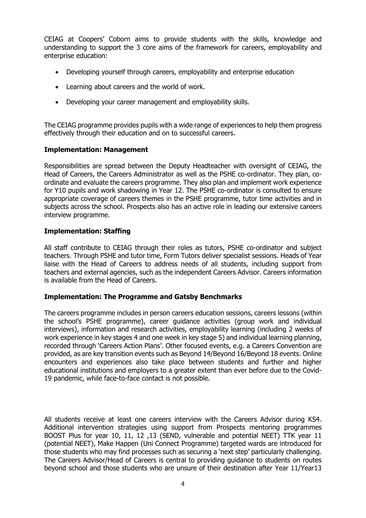CEIAG at Coopers' Coborn aims to provide students with the skills, knowledge and understanding to support the 3 core aims of the framework for careers, employability and enterprise education:

- Developing yourself through careers, employability and enterprise education
- Learning about careers and the world of work.
- Developing your career management and employability skills.

The CEIAG programme provides pupils with a wide range of experiences to help them progress effectively through their education and on to successful careers.

#### **Implementation: Management**

Responsibilities are spread between the Deputy Headteacher with oversight of CEIAG, the Head of Careers, the Careers Administrator as well as the PSHE co-ordinator. They plan, coordinate and evaluate the careers programme. They also plan and implement work experience for Y10 pupils and work shadowing in Year 12. The PSHE co-ordinator is consulted to ensure appropriate coverage of careers themes in the PSHE programme, tutor time activities and in subjects across the school. Prospects also has an active role in leading our extensive careers interview programme.

#### **Implementation: Staffing**

All staff contribute to CEIAG through their roles as tutors, PSHE co-ordinator and subject teachers. Through PSHE and tutor time, Form Tutors deliver specialist sessions. Heads of Year liaise with the Head of Careers to address needs of all students, including support from teachers and external agencies, such as the independent Careers Advisor. Careers information is available from the Head of Careers.

#### **Implementation: The Programme and Gatsby Benchmarks**

The careers programme includes in person careers education sessions, careers lessons (within the school's PSHE programme), career guidance activities (group work and individual interviews), information and research activities, employability learning (including 2 weeks of work experience in key stages 4 and one week in key stage 5) and individual learning planning, recorded through 'Careers Action Plans'. Other focused events, e.g. a Careers Convention are provided, as are key transition events such as Beyond 14/Beyond 16/Beyond 18 events. Online encounters and experiences also take place between students and further and higher educational institutions and employers to a greater extent than ever before due to the Covid-19 pandemic, while face-to-face contact is not possible.

All students receive at least one careers interview with the Careers Advisor during KS4. Additional intervention strategies using support from Prospects mentoring programmes BOOST Plus for year 10, 11, 12 ,13 (SEND, vulnerable and potential NEET) TTK year 11 (potential NEET), Make Happen (Uni Connect Programme) targeted wards are introduced for those students who may find processes such as securing a 'next step' particularly challenging. The Careers Advisor/Head of Careers is central to providing guidance to students on routes beyond school and those students who are unsure of their destination after Year 11/Year13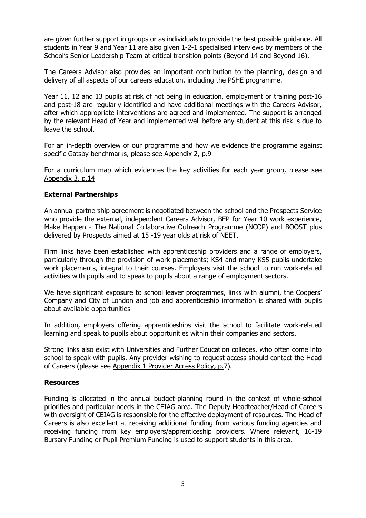are given further support in groups or as individuals to provide the best possible guidance. All students in Year 9 and Year 11 are also given 1-2-1 specialised interviews by members of the School's Senior Leadership Team at critical transition points (Beyond 14 and Beyond 16).

The Careers Advisor also provides an important contribution to the planning, design and delivery of all aspects of our careers education, including the PSHE programme.

Year 11, 12 and 13 pupils at risk of not being in education, employment or training post-16 and post-18 are regularly identified and have additional meetings with the Careers Advisor, after which appropriate interventions are agreed and implemented. The support is arranged by the relevant Head of Year and implemented well before any student at this risk is due to leave the school.

For an in-depth overview of our programme and how we evidence the programme against specific Gatsby benchmarks, please see Appendix 2, p.9

For a curriculum map which evidences the key activities for each year group, please see Appendix 3, p.14

#### **External Partnerships**

An annual partnership agreement is negotiated between the school and the Prospects Service who provide the external, independent Careers Advisor, BEP for Year 10 work experience, Make Happen - The National Collaborative Outreach Programme (NCOP) and BOOST plus delivered by Prospects aimed at 15 -19 year olds at risk of NEET.

Firm links have been established with apprenticeship providers and a range of employers, particularly through the provision of work placements; KS4 and many KS5 pupils undertake work placements, integral to their courses. Employers visit the school to run work-related activities with pupils and to speak to pupils about a range of employment sectors.

We have significant exposure to school leaver programmes, links with alumni, the Coopers' Company and City of London and job and apprenticeship information is shared with pupils about available opportunities

In addition, employers offering apprenticeships visit the school to facilitate work-related learning and speak to pupils about opportunities within their companies and sectors.

Strong links also exist with Universities and Further Education colleges, who often come into school to speak with pupils. Any provider wishing to request access should contact the Head of Careers (please see Appendix 1 Provider Access Policy, p.7).

#### **Resources**

Funding is allocated in the annual budget-planning round in the context of whole-school priorities and particular needs in the CEIAG area. The Deputy Headteacher/Head of Careers with oversight of CEIAG is responsible for the effective deployment of resources. The Head of Careers is also excellent at receiving additional funding from various funding agencies and receiving funding from key employers/apprenticeship providers. Where relevant, 16-19 Bursary Funding or Pupil Premium Funding is used to support students in this area.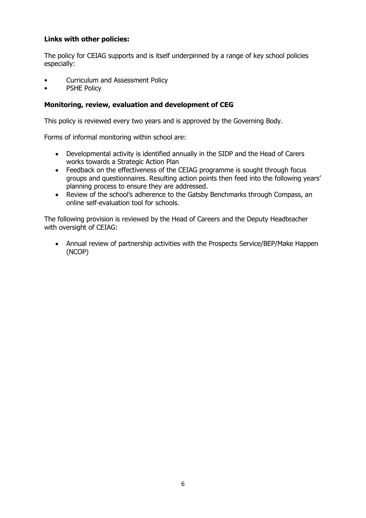### **Links with other policies:**

The policy for CEIAG supports and is itself underpinned by a range of key school policies especially:

- Curriculum and Assessment Policy
- PSHE Policy

#### **Monitoring, review, evaluation and development of CEG**

This policy is reviewed every two years and is approved by the Governing Body.

Forms of informal monitoring within school are:

- Developmental activity is identified annually in the SIDP and the Head of Carers works towards a Strategic Action Plan
- Feedback on the effectiveness of the CEIAG programme is sought through focus groups and questionnaires. Resulting action points then feed into the following years' planning process to ensure they are addressed.
- Review of the school's adherence to the Gatsby Benchmarks through Compass, an online self-evaluation tool for schools.

The following provision is reviewed by the Head of Careers and the Deputy Headteacher with oversight of CEIAG:

 Annual review of partnership activities with the Prospects Service/BEP/Make Happen (NCOP)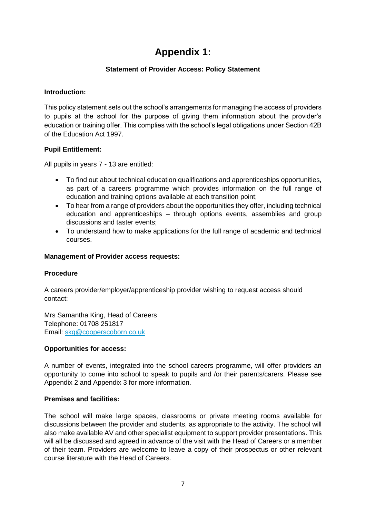## **Appendix 1:**

#### **Statement of Provider Access: Policy Statement**

#### **Introduction:**

This policy statement sets out the school's arrangements for managing the access of providers to pupils at the school for the purpose of giving them information about the provider's education or training offer. This complies with the school's legal obligations under Section 42B of the Education Act 1997.

#### **Pupil Entitlement:**

All pupils in years 7 - 13 are entitled:

- To find out about technical education qualifications and apprenticeships opportunities, as part of a careers programme which provides information on the full range of education and training options available at each transition point;
- To hear from a range of providers about the opportunities they offer, including technical education and apprenticeships – through options events, assemblies and group discussions and taster events;
- To understand how to make applications for the full range of academic and technical courses.

#### **Management of Provider access requests:**

#### **Procedure**

A careers provider/employer/apprenticeship provider wishing to request access should contact:

Mrs Samantha King, Head of Careers Telephone: 01708 251817 Email: [skg@cooperscoborn.co.uk](mailto:skg@cooperscoborn.co.uk)

#### **Opportunities for access:**

A number of events, integrated into the school careers programme, will offer providers an opportunity to come into school to speak to pupils and /or their parents/carers. Please see Appendix 2 and Appendix 3 for more information.

#### **Premises and facilities:**

The school will make large spaces, classrooms or private meeting rooms available for discussions between the provider and students, as appropriate to the activity. The school will also make available AV and other specialist equipment to support provider presentations. This will all be discussed and agreed in advance of the visit with the Head of Careers or a member of their team. Providers are welcome to leave a copy of their prospectus or other relevant course literature with the Head of Careers.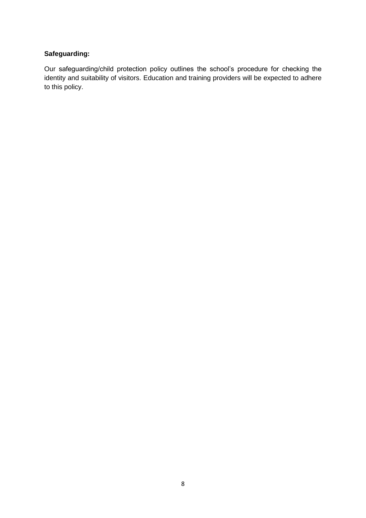## **Safeguarding:**

Our safeguarding/child protection policy outlines the school's procedure for checking the identity and suitability of visitors. Education and training providers will be expected to adhere to this policy.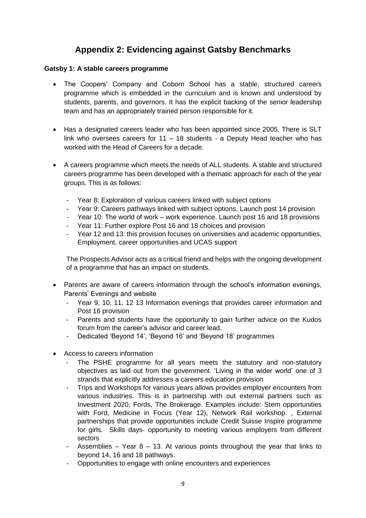## **Appendix 2: Evidencing against Gatsby Benchmarks**

#### **Gatsby 1: A stable careers programme**

- The Coopers' Company and Coborn School has a stable, structured careers programme which is embedded in the curriculum and is known and understood by students, parents, and governors. It has the explicit backing of the senior leadership team and has an appropriately trained person responsible for it.
- Has a designated careers leader who has been appointed since 2005. There is SLT link who oversees careers for 11 – 18 students - a Deputy Head teacher who has worked with the Head of Careers for a decade.
- A careers programme which meets the needs of ALL students. A stable and structured careers programme has been developed with a thematic approach for each of the year groups. This is as follows:
	- Year 8: Exploration of various careers linked with subject options
	- Year 9: Careers pathways linked with subject options. Launch post 14 provision
	- Year 10: The world of work work experience. Launch post 16 and 18 provisions
	- Year 11: Further explore Post 16 and 18 choices and provision
	- Year 12 and 13: this provision focuses on universities and academic opportunities, Employment, career opportunities and UCAS support

The Prospects Advisor acts as a critical friend and helps with the ongoing development of a programme that has an impact on students.

- Parents are aware of careers information through the school's information evenings, Parents' Evenings and website
	- Year 9, 10, 11, 12 13 Information evenings that provides career information and Post 16 provision
	- Parents and students have the opportunity to gain further advice on the Kudos forum from the career's advisor and career lead.
	- Dedicated 'Beyond 14', 'Beyond 16' and 'Beyond 18' programmes
- Access to careers information
	- The PSHE programme for all years meets the statutory and non-statutory objectives as laid out from the government. 'Living in the wider world' one of 3 strands that explicitly addresses a careers education provision
	- Trips and Workshops for various years allows provides employer encounters from various industries. This is in partnership with out external partners such as Investment 2020, Fords, The Brokerage. Examples include: Stem opportunities with Ford, Medicine in Focus (Year 12), Network Rail workshop. , External partnerships that provide opportunities include Credit Suisse Inspire programme for girls. Skills days- opportunity to meeting various employers from different sectors
	- Assemblies Year 8 13. At various points throughout the year that links to beyond 14, 16 and 18 pathways.
	- Opportunities to engage with online encounters and experiences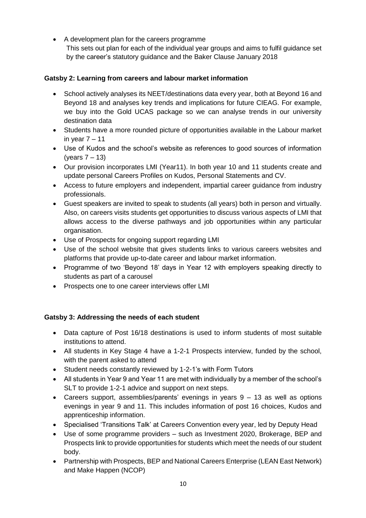A development plan for the careers programme This sets out plan for each of the individual year groups and aims to fulfil guidance set by the career's statutory guidance and the Baker Clause January 2018

### **Gatsby 2: Learning from careers and labour market information**

- School actively analyses its NEET/destinations data every year, both at Beyond 16 and Beyond 18 and analyses key trends and implications for future CIEAG. For example, we buy into the Gold UCAS package so we can analyse trends in our university destination data
- Students have a more rounded picture of opportunities available in the Labour market in year  $7 - 11$
- Use of Kudos and the school's website as references to good sources of information (years 7 – 13)
- Our provision incorporates LMI (Year11). In both year 10 and 11 students create and update personal Careers Profiles on Kudos, Personal Statements and CV.
- Access to future employers and independent, impartial career guidance from industry professionals.
- Guest speakers are invited to speak to students (all years) both in person and virtually. Also, on careers visits students get opportunities to discuss various aspects of LMI that allows access to the diverse pathways and job opportunities within any particular organisation.
- Use of Prospects for ongoing support regarding LMI
- Use of the school website that gives students links to various careers websites and platforms that provide up-to-date career and labour market information.
- Programme of two 'Beyond 18' days in Year 12 with employers speaking directly to students as part of a carousel
- Prospects one to one career interviews offer LMI

#### **Gatsby 3: Addressing the needs of each student**

- Data capture of Post 16/18 destinations is used to inform students of most suitable institutions to attend.
- All students in Key Stage 4 have a 1-2-1 Prospects interview, funded by the school, with the parent asked to attend
- Student needs constantly reviewed by 1-2-1's with Form Tutors
- All students in Year 9 and Year 11 are met with individually by a member of the school's SLT to provide 1-2-1 advice and support on next steps.
- Careers support, assemblies/parents' evenings in years 9 13 as well as options evenings in year 9 and 11. This includes information of post 16 choices, Kudos and apprenticeship information.
- Specialised 'Transitions Talk' at Careers Convention every year, led by Deputy Head
- Use of some programme providers such as Investment 2020, Brokerage, BEP and Prospects link to provide opportunities for students which meet the needs of our student body.
- Partnership with Prospects, BEP and National Careers Enterprise (LEAN East Network) and Make Happen (NCOP)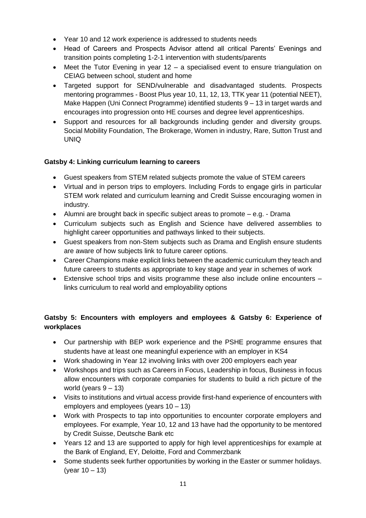- Year 10 and 12 work experience is addressed to students needs
- Head of Careers and Prospects Advisor attend all critical Parents' Evenings and transition points completing 1-2-1 intervention with students/parents
- Meet the Tutor Evening in year 12 a specialised event to ensure triangulation on CEIAG between school, student and home
- Targeted support for SEND/vulnerable and disadvantaged students. Prospects mentoring programmes - Boost Plus year 10, 11, 12, 13, TTK year 11 (potential NEET), Make Happen (Uni Connect Programme) identified students 9 – 13 in target wards and encourages into progression onto HE courses and degree level apprenticeships.
- Support and resources for all backgrounds including gender and diversity groups. Social Mobility Foundation, The Brokerage, Women in industry, Rare, Sutton Trust and UNIQ

#### **Gatsby 4: Linking curriculum learning to careers**

- Guest speakers from STEM related subjects promote the value of STEM careers
- Virtual and in person trips to employers. Including Fords to engage girls in particular STEM work related and curriculum learning and Credit Suisse encouraging women in industry.
- Alumni are brought back in specific subject areas to promote e.g. Drama
- Curriculum subjects such as English and Science have delivered assemblies to highlight career opportunities and pathways linked to their subjects.
- Guest speakers from non-Stem subjects such as Drama and English ensure students are aware of how subjects link to future career options.
- Career Champions make explicit links between the academic curriculum they teach and future careers to students as appropriate to key stage and year in schemes of work
- Extensive school trips and visits programme these also include online encounters links curriculum to real world and employability options

## **Gatsby 5: Encounters with employers and employees & Gatsby 6: Experience of workplaces**

- Our partnership with BEP work experience and the PSHE programme ensures that students have at least one meaningful experience with an employer in KS4
- Work shadowing in Year 12 involving links with over 200 employers each year
- Workshops and trips such as Careers in Focus, Leadership in focus, Business in focus allow encounters with corporate companies for students to build a rich picture of the world (years  $9 - 13$ )
- Visits to institutions and virtual access provide first-hand experience of encounters with employers and employees (years 10 – 13)
- Work with Prospects to tap into opportunities to encounter corporate employers and employees. For example, Year 10, 12 and 13 have had the opportunity to be mentored by Credit Suisse, Deutsche Bank etc
- Years 12 and 13 are supported to apply for high level apprenticeships for example at the Bank of England, EY, Deloitte, Ford and Commerzbank
- Some students seek further opportunities by working in the Easter or summer holidays. (year  $10 - 13$ )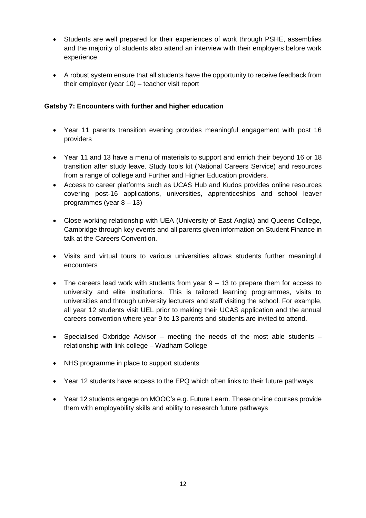- Students are well prepared for their experiences of work through PSHE, assemblies and the majority of students also attend an interview with their employers before work experience
- A robust system ensure that all students have the opportunity to receive feedback from their employer (year 10) – teacher visit report

### **Gatsby 7: Encounters with further and higher education**

- Year 11 parents transition evening provides meaningful engagement with post 16 providers
- Year 11 and 13 have a menu of materials to support and enrich their beyond 16 or 18 transition after study leave. Study tools kit (National Careers Service) and resources from a range of college and Further and Higher Education providers.
- Access to career platforms such as UCAS Hub and Kudos provides online resources covering post-16 applications, universities, apprenticeships and school leaver programmes (year 8 – 13)
- Close working relationship with UEA (University of East Anglia) and Queens College, Cambridge through key events and all parents given information on Student Finance in talk at the Careers Convention.
- Visits and virtual tours to various universities allows students further meaningful encounters
- The careers lead work with students from year 9 13 to prepare them for access to university and elite institutions. This is tailored learning programmes, visits to universities and through university lecturers and staff visiting the school. For example, all year 12 students visit UEL prior to making their UCAS application and the annual careers convention where year 9 to 13 parents and students are invited to attend.
- Specialised Oxbridge Advisor meeting the needs of the most able students relationship with link college – Wadham College
- NHS programme in place to support students
- Year 12 students have access to the EPQ which often links to their future pathways
- Year 12 students engage on MOOC's e.g. Future Learn. These on-line courses provide them with employability skills and ability to research future pathways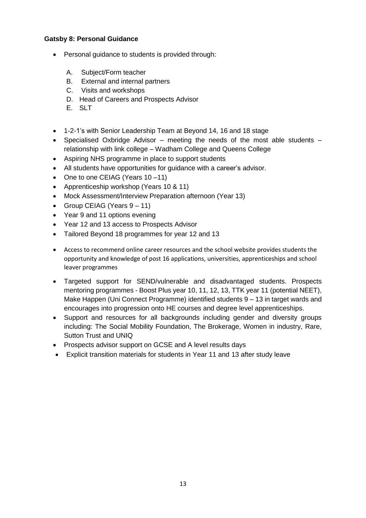#### **Gatsby 8: Personal Guidance**

- Personal guidance to students is provided through:
	- A. Subject/Form teacher
	- B. External and internal partners
	- C. Visits and workshops
	- D. Head of Careers and Prospects Advisor
	- E. SLT
- 1-2-1's with Senior Leadership Team at Beyond 14, 16 and 18 stage
- Specialised Oxbridge Advisor meeting the needs of the most able students relationship with link college – Wadham College and Queens College
- Aspiring NHS programme in place to support students
- All students have opportunities for guidance with a career's advisor.
- One to one CEIAG (Years 10-11)
- Apprenticeship workshop (Years 10 & 11)
- Mock Assessment/Interview Preparation afternoon (Year 13)
- Group CEIAG (Years  $9 11$ )
- Year 9 and 11 options evening
- Year 12 and 13 access to Prospects Advisor
- Tailored Beyond 18 programmes for year 12 and 13
- Access to recommend online career resources and the school website provides students the opportunity and knowledge of post 16 applications, universities, apprenticeships and school leaver programmes
- Targeted support for SEND/vulnerable and disadvantaged students. Prospects mentoring programmes - Boost Plus year 10, 11, 12, 13, TTK year 11 (potential NEET), Make Happen (Uni Connect Programme) identified students 9 – 13 in target wards and encourages into progression onto HE courses and degree level apprenticeships.
- Support and resources for all backgrounds including gender and diversity groups including: The Social Mobility Foundation, The Brokerage, Women in industry, Rare, Sutton Trust and UNIQ
- Prospects advisor support on GCSE and A level results days
- Explicit transition materials for students in Year 11 and 13 after study leave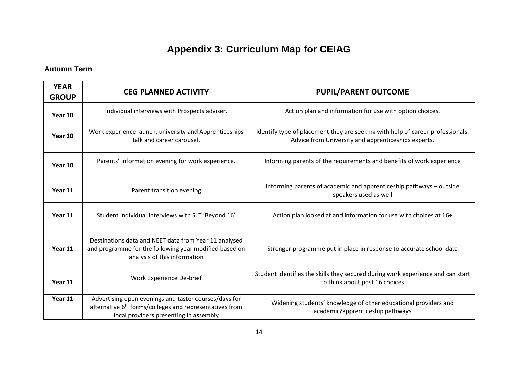# **Appendix 3: Curriculum Map for CEIAG**

## **Autumn Term**

| <b>YEAR</b><br><b>GROUP</b> | <b>CEG PLANNED ACTIVITY</b>                                                                                                                                            | <b>PUPIL/PARENT OUTCOME</b>                                                                                                           |  |
|-----------------------------|------------------------------------------------------------------------------------------------------------------------------------------------------------------------|---------------------------------------------------------------------------------------------------------------------------------------|--|
| Year 10                     | Individual interviews with Prospects adviser.                                                                                                                          | Action plan and information for use with option choices.                                                                              |  |
| Year 10                     | Work experience launch, university and Apprenticeships<br>talk and career carousel.                                                                                    | Identify type of placement they are seeking with help of career professionals.<br>Advice from University and apprenticeships experts. |  |
| Year 10                     | Parents' information evening for work experience.                                                                                                                      | Informing parents of the requirements and benefits of work experience                                                                 |  |
| Year 11                     | Parent transition evening                                                                                                                                              | Informing parents of academic and apprenticeship pathways - outside<br>speakers used as well                                          |  |
| Year 11                     | Student individual interviews with SLT 'Beyond 16'                                                                                                                     | Action plan looked at and information for use with choices at 16+                                                                     |  |
| Year 11                     | Destinations data and NEET data from Year 11 analysed<br>and programme for the following year modified based on<br>analysis of this information                        | Stronger programme put in place in response to accurate school data                                                                   |  |
| Year 11                     | Work Experience De-brief                                                                                                                                               | Student identifies the skills they secured during work experience and can start<br>to think about post 16 choices                     |  |
| Year 11                     | Advertising open evenings and taster courses/days for<br>alternative 6 <sup>th</sup> forms/colleges and representatives from<br>local providers presenting in assembly | Widening students' knowledge of other educational providers and<br>academic/apprenticeship pathways                                   |  |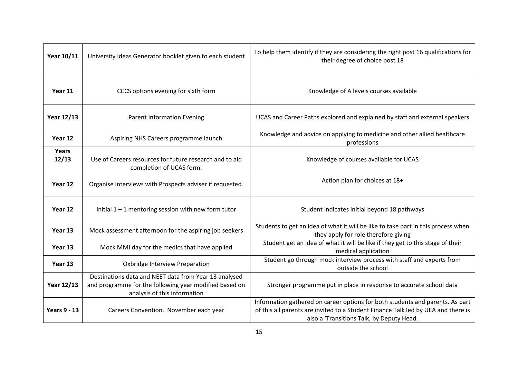| Year 10/11          | University Ideas Generator booklet given to each student                                                                                        | To help them identify if they are considering the right post 16 qualifications for<br>their degree of choice post 18                                                                                            |  |
|---------------------|-------------------------------------------------------------------------------------------------------------------------------------------------|-----------------------------------------------------------------------------------------------------------------------------------------------------------------------------------------------------------------|--|
| Year 11             | CCCS options evening for sixth form                                                                                                             | Knowledge of A levels courses available                                                                                                                                                                         |  |
| Year 12/13          | <b>Parent Information Evening</b>                                                                                                               | UCAS and Career Paths explored and explained by staff and external speakers                                                                                                                                     |  |
| Year 12             | Aspiring NHS Careers programme launch                                                                                                           | Knowledge and advice on applying to medicine and other allied healthcare<br>professions                                                                                                                         |  |
| Years<br>12/13      | Use of Careers resources for future research and to aid<br>completion of UCAS form.                                                             | Knowledge of courses available for UCAS                                                                                                                                                                         |  |
| Year 12             | Organise interviews with Prospects adviser if requested.                                                                                        | Action plan for choices at 18+                                                                                                                                                                                  |  |
| Year 12             | Initial $1 - 1$ mentoring session with new form tutor                                                                                           | Student indicates initial beyond 18 pathways                                                                                                                                                                    |  |
| Year 13             | Mock assessment afternoon for the aspiring job seekers                                                                                          | Students to get an idea of what it will be like to take part in this process when<br>they apply for role therefore giving                                                                                       |  |
| Year 13             | Mock MMI day for the medics that have applied                                                                                                   | Student get an idea of what it will be like if they get to this stage of their<br>medical application                                                                                                           |  |
| Year 13             | Oxbridge Interview Preparation                                                                                                                  | Student go through mock interview process with staff and experts from<br>outside the school                                                                                                                     |  |
| Year 12/13          | Destinations data and NEET data from Year 13 analysed<br>and programme for the following year modified based on<br>analysis of this information | Stronger programme put in place in response to accurate school data                                                                                                                                             |  |
| <b>Years 9 - 13</b> | Careers Convention. November each year                                                                                                          | Information gathered on career options for both students and parents. As part<br>of this all parents are invited to a Student Finance Talk led by UEA and there is<br>also a 'Transitions Talk, by Deputy Head. |  |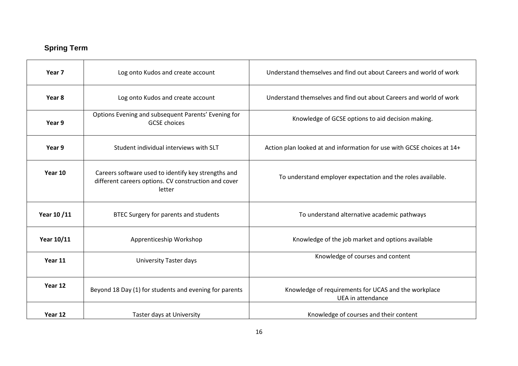## **Spring Term**

| Year <sub>7</sub> | Log onto Kudos and create account                                                                                     | Understand themselves and find out about Careers and world of work        |  |
|-------------------|-----------------------------------------------------------------------------------------------------------------------|---------------------------------------------------------------------------|--|
| Year 8            | Log onto Kudos and create account                                                                                     | Understand themselves and find out about Careers and world of work        |  |
| Year 9            | Options Evening and subsequent Parents' Evening for<br><b>GCSE</b> choices                                            | Knowledge of GCSE options to aid decision making.                         |  |
| Year 9            | Student individual interviews with SLT                                                                                | Action plan looked at and information for use with GCSE choices at 14+    |  |
| Year 10           | Careers software used to identify key strengths and<br>different careers options. CV construction and cover<br>letter | To understand employer expectation and the roles available.               |  |
| Year 10/11        | BTEC Surgery for parents and students                                                                                 | To understand alternative academic pathways                               |  |
| Year 10/11        | Apprenticeship Workshop                                                                                               | Knowledge of the job market and options available                         |  |
| Year 11           | University Taster days                                                                                                | Knowledge of courses and content                                          |  |
| Year 12           | Beyond 18 Day (1) for students and evening for parents                                                                | Knowledge of requirements for UCAS and the workplace<br>UEA in attendance |  |
| Year 12           | Taster days at University                                                                                             | Knowledge of courses and their content                                    |  |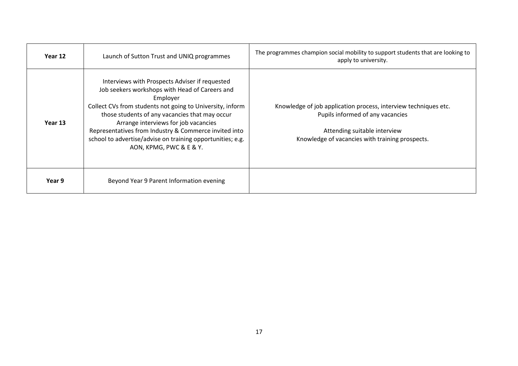| Year 12 | Launch of Sutton Trust and UNIQ programmes                                                                                                                                                                                                                                                                                                                                                                            | The programmes champion social mobility to support students that are looking to<br>apply to university.                                                                                |  |
|---------|-----------------------------------------------------------------------------------------------------------------------------------------------------------------------------------------------------------------------------------------------------------------------------------------------------------------------------------------------------------------------------------------------------------------------|----------------------------------------------------------------------------------------------------------------------------------------------------------------------------------------|--|
| Year 13 | Interviews with Prospects Adviser if requested<br>Job seekers workshops with Head of Careers and<br>Employer<br>Collect CVs from students not going to University, inform<br>those students of any vacancies that may occur<br>Arrange interviews for job vacancies<br>Representatives from Industry & Commerce invited into<br>school to advertise/advise on training opportunities; e.g.<br>AON, KPMG, PWC & E & Y. | Knowledge of job application process, interview techniques etc.<br>Pupils informed of any vacancies<br>Attending suitable interview<br>Knowledge of vacancies with training prospects. |  |
| Year 9  | Beyond Year 9 Parent Information evening                                                                                                                                                                                                                                                                                                                                                                              |                                                                                                                                                                                        |  |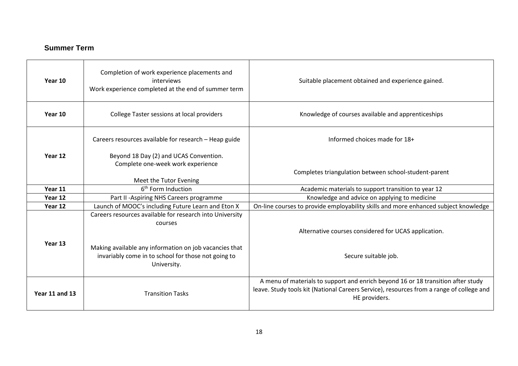## **Summer Term**

| Year 10        | Completion of work experience placements and<br>interviews<br>Work experience completed at the end of summer term                                                                                   | Suitable placement obtained and experience gained.                                                                                                                                            |  |
|----------------|-----------------------------------------------------------------------------------------------------------------------------------------------------------------------------------------------------|-----------------------------------------------------------------------------------------------------------------------------------------------------------------------------------------------|--|
| Year 10        | College Taster sessions at local providers                                                                                                                                                          | Knowledge of courses available and apprenticeships                                                                                                                                            |  |
|                | Careers resources available for research - Heap guide                                                                                                                                               | Informed choices made for 18+                                                                                                                                                                 |  |
| Year 12        | Beyond 18 Day (2) and UCAS Convention.<br>Complete one-week work experience<br>Meet the Tutor Evening                                                                                               | Completes triangulation between school-student-parent                                                                                                                                         |  |
| Year 11        | 6 <sup>th</sup> Form Induction                                                                                                                                                                      | Academic materials to support transition to year 12                                                                                                                                           |  |
| Year 12        | Part II -Aspiring NHS Careers programme                                                                                                                                                             | Knowledge and advice on applying to medicine                                                                                                                                                  |  |
| Year 12        | Launch of MOOC's including Future Learn and Eton X                                                                                                                                                  | On-line courses to provide employability skills and more enhanced subject knowledge                                                                                                           |  |
| Year 13        | Careers resources available for research into University<br>courses<br>Making available any information on job vacancies that<br>invariably come in to school for those not going to<br>University. | Alternative courses considered for UCAS application.<br>Secure suitable job.                                                                                                                  |  |
| Year 11 and 13 | <b>Transition Tasks</b>                                                                                                                                                                             | A menu of materials to support and enrich beyond 16 or 18 transition after study<br>leave. Study tools kit (National Careers Service), resources from a range of college and<br>HE providers. |  |